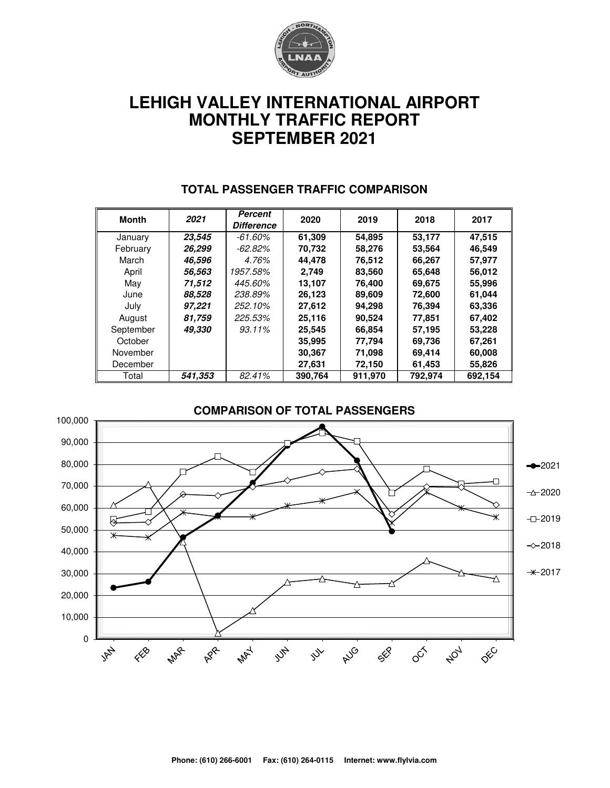

# **LEHIGH VALLEY INTERNATIONAL AIRPORT MONTHLY TRAFFIC REPORT SEPTEMBER 2021**

| <b>Month</b> | 2021    | <b>Percent</b><br><b>Difference</b> | 2020    | 2019    | 2018    | 2017    |  |
|--------------|---------|-------------------------------------|---------|---------|---------|---------|--|
| January      | 23,545  | $-61.60\%$                          | 61,309  | 54,895  | 53.177  | 47,515  |  |
| February     | 26.299  | $-62.82\%$                          | 70,732  | 58,276  | 53,564  | 46,549  |  |
| March        | 46,596  | 4.76%                               | 44.478  | 76,512  | 66,267  | 57.977  |  |
| April        | 56,563  | 1957.58%                            | 2.749   | 83,560  | 65,648  | 56,012  |  |
| May          | 71,512  | 445.60%                             | 13.107  | 76.400  | 69,675  | 55,996  |  |
| June         | 88,528  | 238.89%                             | 26,123  | 89,609  | 72,600  | 61,044  |  |
| July         | 97,221  | 252.10%                             | 27,612  | 94,298  | 76,394  | 63,336  |  |
| August       | 81,759  | 225.53%                             | 25,116  | 90.524  | 77,851  | 67,402  |  |
| September    | 49,330  | 93.11%                              | 25,545  | 66,854  | 57,195  | 53,228  |  |
| October      |         |                                     | 35,995  | 77,794  | 69,736  | 67,261  |  |
| November     |         |                                     | 30,367  | 71,098  | 69,414  | 60,008  |  |
| December     |         |                                     | 27,631  | 72,150  | 61,453  | 55,826  |  |
| Total        | 541,353 | 82.41%                              | 390,764 | 911,970 | 792,974 | 692,154 |  |

#### **TOTAL PASSENGER TRAFFIC COMPARISON**

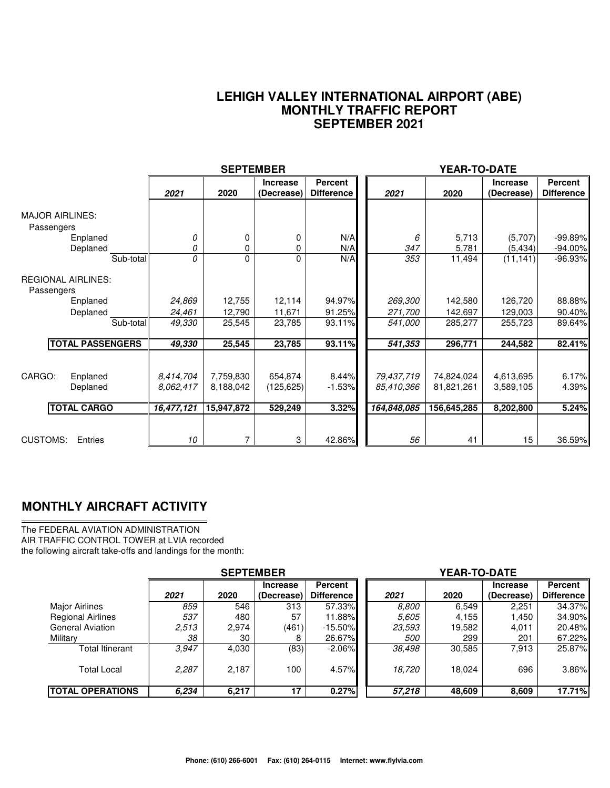#### **LEHIGH VALLEY INTERNATIONAL AIRPORT (ABE) MONTHLY TRAFFIC REPORT SEPTEMBER 2021**

|                                                      |                        | <b>SEPTEMBER</b>       |                               |                                     | YEAR-TO-DATE             |                          |                               |                              |
|------------------------------------------------------|------------------------|------------------------|-------------------------------|-------------------------------------|--------------------------|--------------------------|-------------------------------|------------------------------|
|                                                      | 2021                   | 2020                   | <b>Increase</b><br>(Decrease) | <b>Percent</b><br><b>Difference</b> | 2021                     | 2020                     | <b>Increase</b><br>(Decrease) | Percent<br><b>Difference</b> |
| <b>MAJOR AIRLINES:</b><br>Passengers                 |                        |                        |                               |                                     |                          |                          |                               |                              |
| Enplaned<br>Deplaned                                 | 0<br>0                 | 0<br>0                 | 0<br>0                        | N/A<br>N/A                          | 6<br>347                 | 5,713<br>5,781           | (5,707)<br>(5, 434)           | $-99.89%$<br>$-94.00\%$      |
| Sub-total<br><b>REGIONAL AIRLINES:</b><br>Passengers | 0                      | 0                      | 0                             | N/A                                 | 353                      | 11,494                   | (11, 141)                     | $-96.93%$                    |
| Enplaned                                             | 24,869                 | 12,755                 | 12,114                        | 94.97%                              | 269,300                  | 142,580                  | 126,720                       | 88.88%                       |
| Deplaned<br>Sub-total                                | 24,461<br>49,330       | 12,790<br>25,545       | 11,671<br>23,785              | 91.25%<br>93.11%                    | 271,700<br>541,000       | 142,697<br>285,277       | 129,003<br>255,723            | 90.40%<br>89.64%             |
| <b>TOTAL PASSENGERS</b>                              | 49,330                 | 25,545                 | 23,785                        | 93.11%                              | 541,353                  | 296,771                  | 244,582                       | 82.41%                       |
| CARGO:<br>Enplaned<br>Deplaned                       | 8,414,704<br>8.062,417 | 7,759,830<br>8,188,042 | 654,874<br>(125, 625)         | 8.44%<br>$-1.53%$                   | 79,437,719<br>85,410,366 | 74,824,024<br>81,821,261 | 4,613,695<br>3,589,105        | 6.17%<br>4.39%               |
| <b>TOTAL CARGO</b>                                   | 16,477,121             | 15,947,872             | 529,249                       | 3.32%                               | 164,848,085              | 156,645,285              | 8,202,800                     | 5.24%                        |
| <b>CUSTOMS:</b><br>Entries                           | 10                     | 7                      | 3                             | 42.86%                              | 56                       | 41                       | 15                            | 36.59%                       |

### **MONTHLY AIRCRAFT ACTIVITY**

The FEDERAL AVIATION ADMINISTRATION AIR TRAFFIC CONTROL TOWER at LVIA recorded the following aircraft take-offs and landings for the month:

|                          | <b>SEPTEMBER</b> |       |                               |                                     | YEAR-TO-DATE |        |                               |                              |  |  |
|--------------------------|------------------|-------|-------------------------------|-------------------------------------|--------------|--------|-------------------------------|------------------------------|--|--|
|                          | 2021             | 2020  | <b>Increase</b><br>(Decrease) | <b>Percent</b><br><b>Difference</b> | 2021         | 2020   | <b>Increase</b><br>(Decrease) | Percent<br><b>Difference</b> |  |  |
| <b>Major Airlines</b>    | 859              | 546   | 313                           | 57.33%                              | 8.800        | 6,549  | 2.251                         | 34.37%                       |  |  |
| <b>Regional Airlines</b> | 537              | 480   | 57                            | 11.88%                              | 5.605        | 4,155  | .450                          | 34.90%                       |  |  |
| <b>General Aviation</b>  | 2,513            | 2,974 | (461)                         | $-15.50\%$                          | 23,593       | 19,582 | 4,011                         | 20.48%                       |  |  |
| Military                 | 38               | 30    |                               | 26.67%                              | <i>500</i>   | 299    | 201                           | 67.22%                       |  |  |
| Total Itinerant          | 3.947            | 4,030 | (83)                          | $-2.06\%$                           | 38,498       | 30,585 | 7,913                         | 25.87%                       |  |  |
| <b>Total Local</b>       | 2.287            | 2.187 | 100                           | 4.57%                               | 18,720       | 18.024 | 696                           | 3.86%                        |  |  |
| <b>TOTAL OPERATIONS</b>  | 6.234            | 6,217 | 17                            | 0.27%                               | 57,218       | 48,609 | 8,609                         | 17.71%                       |  |  |